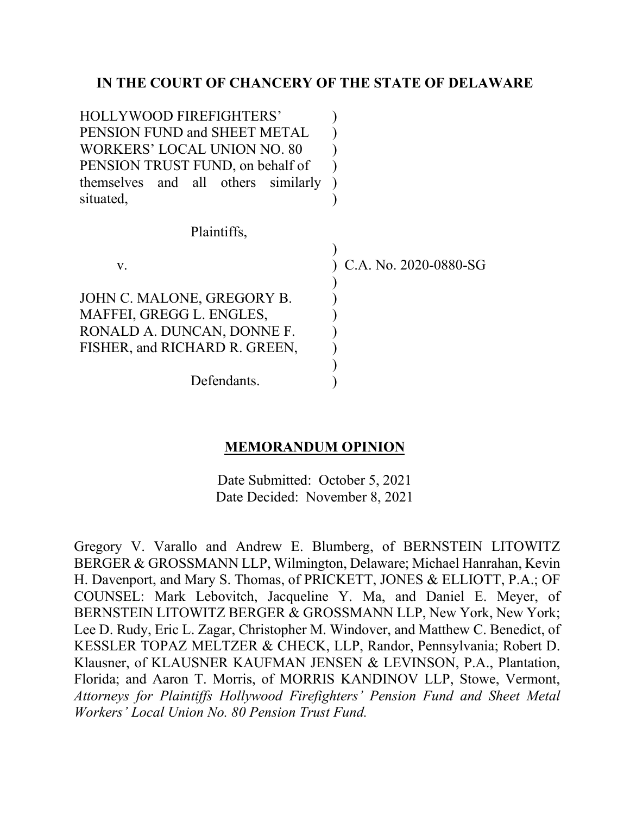## **IN THE COURT OF CHANCERY OF THE STATE OF DELAWARE**

| <b>HOLLYWOOD FIREFIGHTERS'</b>      |                       |
|-------------------------------------|-----------------------|
| PENSION FUND and SHEET METAL        |                       |
| WORKERS' LOCAL UNION NO. 80         |                       |
| PENSION TRUST FUND, on behalf of    |                       |
| themselves and all others similarly |                       |
| situated,                           |                       |
| Plaintiffs,                         |                       |
|                                     |                       |
| V.                                  | C.A. No. 2020-0880-SG |
|                                     |                       |
| JOHN C. MALONE, GREGORY B.          |                       |
| MAFFEI, GREGG L. ENGLES,            |                       |
| RONALD A. DUNCAN, DONNE F.          |                       |
| FISHER, and RICHARD R. GREEN,       |                       |
|                                     |                       |
| Defendants.                         |                       |

## **MEMORANDUM OPINION**

Date Submitted: October 5, 2021 Date Decided: November 8, 2021

Gregory V. Varallo and Andrew E. Blumberg, of BERNSTEIN LITOWITZ BERGER & GROSSMANN LLP, Wilmington, Delaware; Michael Hanrahan, Kevin H. Davenport, and Mary S. Thomas, of PRICKETT, JONES & ELLIOTT, P.A.; OF COUNSEL: Mark Lebovitch, Jacqueline Y. Ma, and Daniel E. Meyer, of BERNSTEIN LITOWITZ BERGER & GROSSMANN LLP, New York, New York; Lee D. Rudy, Eric L. Zagar, Christopher M. Windover, and Matthew C. Benedict, of KESSLER TOPAZ MELTZER & CHECK, LLP, Randor, Pennsylvania; Robert D. Klausner, of KLAUSNER KAUFMAN JENSEN & LEVINSON, P.A., Plantation, Florida; and Aaron T. Morris, of MORRIS KANDINOV LLP, Stowe, Vermont, *Attorneys for Plaintiffs Hollywood Firefighters' Pension Fund and Sheet Metal Workers' Local Union No. 80 Pension Trust Fund.*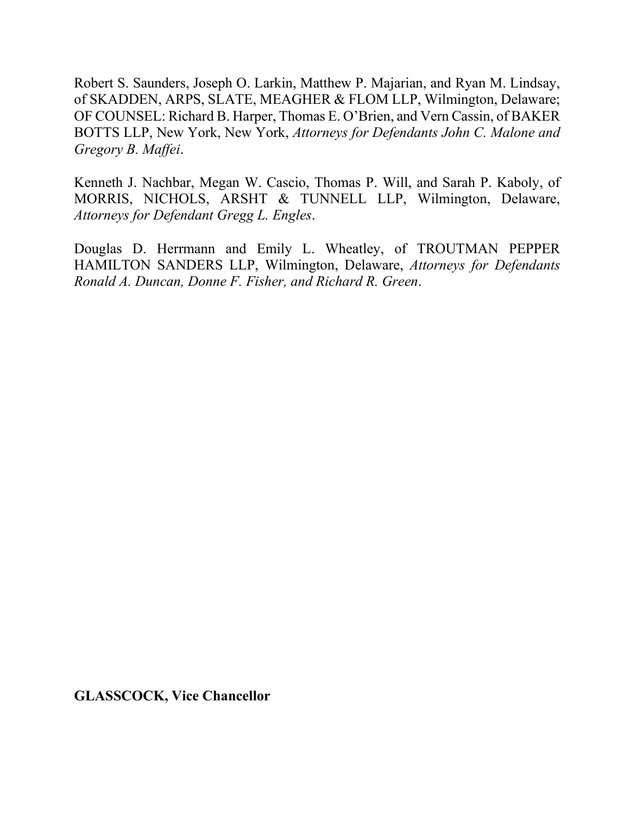Robert S. Saunders, Joseph O. Larkin, Matthew P. Majarian, and Ryan M. Lindsay, of SKADDEN, ARPS, SLATE, MEAGHER & FLOM LLP, Wilmington, Delaware; OF COUNSEL: Richard B. Harper, Thomas E. O'Brien, and Vern Cassin, of BAKER BOTTS LLP, New York, New York, *Attorneys for Defendants John C. Malone and Gregory B. Maffei*.

Kenneth J. Nachbar, Megan W. Cascio, Thomas P. Will, and Sarah P. Kaboly, of MORRIS, NICHOLS, ARSHT & TUNNELL LLP, Wilmington, Delaware, *Attorneys for Defendant Gregg L. Engles*.

Douglas D. Herrmann and Emily L. Wheatley, of TROUTMAN PEPPER HAMILTON SANDERS LLP, Wilmington, Delaware, *Attorneys for Defendants Ronald A. Duncan, Donne F. Fisher, and Richard R. Green*.

**GLASSCOCK, Vice Chancellor**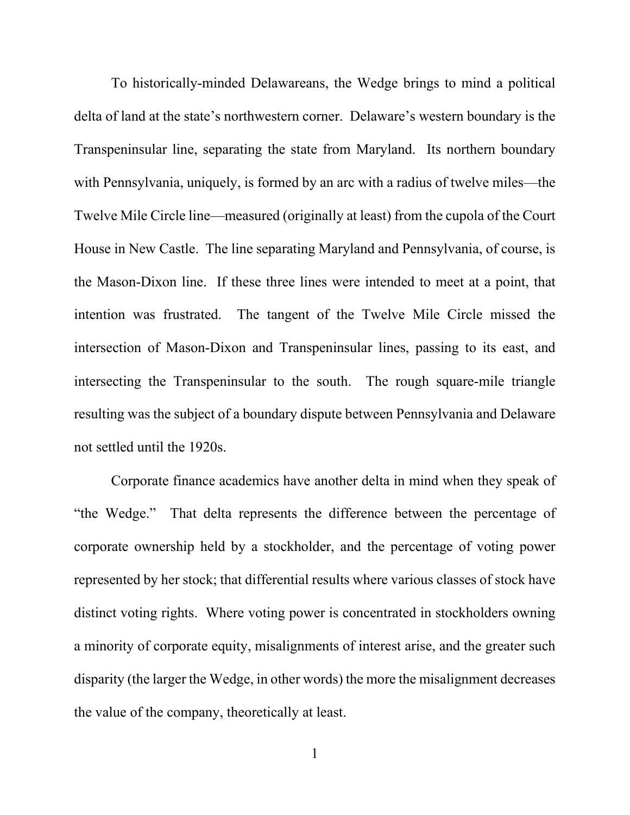To historically-minded Delawareans, the Wedge brings to mind a political delta of land at the state's northwestern corner. Delaware's western boundary is the Transpeninsular line, separating the state from Maryland. Its northern boundary with Pennsylvania, uniquely, is formed by an arc with a radius of twelve miles—the Twelve Mile Circle line—measured (originally at least) from the cupola of the Court House in New Castle. The line separating Maryland and Pennsylvania, of course, is the Mason-Dixon line. If these three lines were intended to meet at a point, that intention was frustrated. The tangent of the Twelve Mile Circle missed the intersection of Mason-Dixon and Transpeninsular lines, passing to its east, and intersecting the Transpeninsular to the south. The rough square-mile triangle resulting was the subject of a boundary dispute between Pennsylvania and Delaware not settled until the 1920s.

Corporate finance academics have another delta in mind when they speak of "the Wedge." That delta represents the difference between the percentage of corporate ownership held by a stockholder, and the percentage of voting power represented by her stock; that differential results where various classes of stock have distinct voting rights. Where voting power is concentrated in stockholders owning a minority of corporate equity, misalignments of interest arise, and the greater such disparity (the larger the Wedge, in other words) the more the misalignment decreases the value of the company, theoretically at least.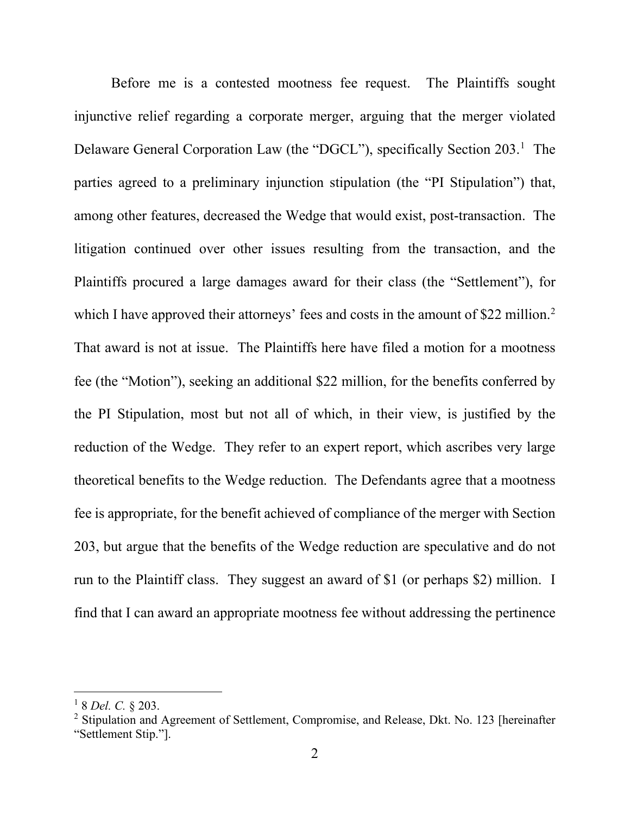Before me is a contested mootness fee request. The Plaintiffs sought injunctive relief regarding a corporate merger, arguing that the merger violated Delaware General Corporation Law (the "DGCL"), specifically Section 203.<sup>1</sup> The parties agreed to a preliminary injunction stipulation (the "PI Stipulation") that, among other features, decreased the Wedge that would exist, post-transaction. The litigation continued over other issues resulting from the transaction, and the Plaintiffs procured a large damages award for their class (the "Settlement"), for which I have approved their attorneys' fees and costs in the amount of \$22 million.<sup>2</sup> That award is not at issue. The Plaintiffs here have filed a motion for a mootness fee (the "Motion"), seeking an additional \$22 million, for the benefits conferred by the PI Stipulation, most but not all of which, in their view, is justified by the reduction of the Wedge. They refer to an expert report, which ascribes very large theoretical benefits to the Wedge reduction. The Defendants agree that a mootness fee is appropriate, for the benefit achieved of compliance of the merger with Section 203, but argue that the benefits of the Wedge reduction are speculative and do not run to the Plaintiff class. They suggest an award of \$1 (or perhaps \$2) million. I find that I can award an appropriate mootness fee without addressing the pertinence

<sup>1</sup> 8 *Del. C.* § 203.

 $2$  Stipulation and Agreement of Settlement, Compromise, and Release, Dkt. No. 123 [hereinafter "Settlement Stip."].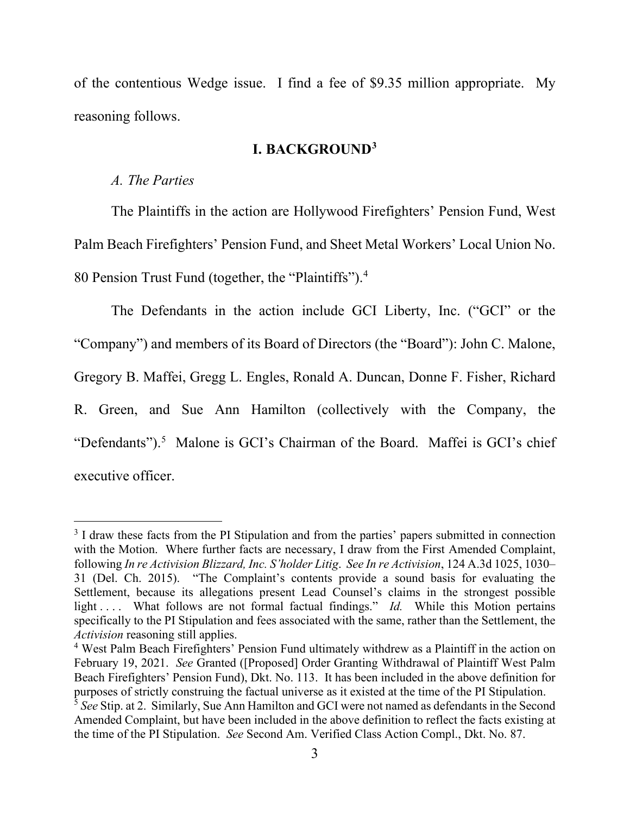of the contentious Wedge issue. I find a fee of \$9.35 million appropriate. My reasoning follows.

#### **I. BACKGROUND3**

#### *A. The Parties*

The Plaintiffs in the action are Hollywood Firefighters' Pension Fund, West Palm Beach Firefighters' Pension Fund, and Sheet Metal Workers' Local Union No. 80 Pension Trust Fund (together, the "Plaintiffs"). 4

The Defendants in the action include GCI Liberty, Inc. ("GCI" or the "Company") and members of its Board of Directors (the "Board"): John C. Malone, Gregory B. Maffei, Gregg L. Engles, Ronald A. Duncan, Donne F. Fisher, Richard R. Green, and Sue Ann Hamilton (collectively with the Company, the "Defendants").<sup>5</sup> Malone is GCI's Chairman of the Board. Maffei is GCI's chief executive officer.

<sup>&</sup>lt;sup>3</sup> I draw these facts from the PI Stipulation and from the parties' papers submitted in connection with the Motion. Where further facts are necessary, I draw from the First Amended Complaint, following *In re Activision Blizzard, Inc. S'holder Litig*. *See In re Activision*, 124 A.3d 1025, 1030– 31 (Del. Ch. 2015). "The Complaint's contents provide a sound basis for evaluating the Settlement, because its allegations present Lead Counsel's claims in the strongest possible light .... What follows are not formal factual findings." *Id.* While this Motion pertains specifically to the PI Stipulation and fees associated with the same, rather than the Settlement, the *Activision* reasoning still applies.<br><sup>4</sup> West Palm Beach Firefighters' Pension Fund ultimately withdrew as a Plaintiff in the action on

February 19, 2021. *See* Granted ([Proposed] Order Granting Withdrawal of Plaintiff West Palm Beach Firefighters' Pension Fund), Dkt. No. 113. It has been included in the above definition for purposes of strictly construing the factual universe as it existed at the time of the PI Stipulation.

<sup>5</sup> *See* Stip. at 2. Similarly, Sue Ann Hamilton and GCI were not named as defendants in the Second Amended Complaint, but have been included in the above definition to reflect the facts existing at the time of the PI Stipulation. *See* Second Am. Verified Class Action Compl., Dkt. No. 87.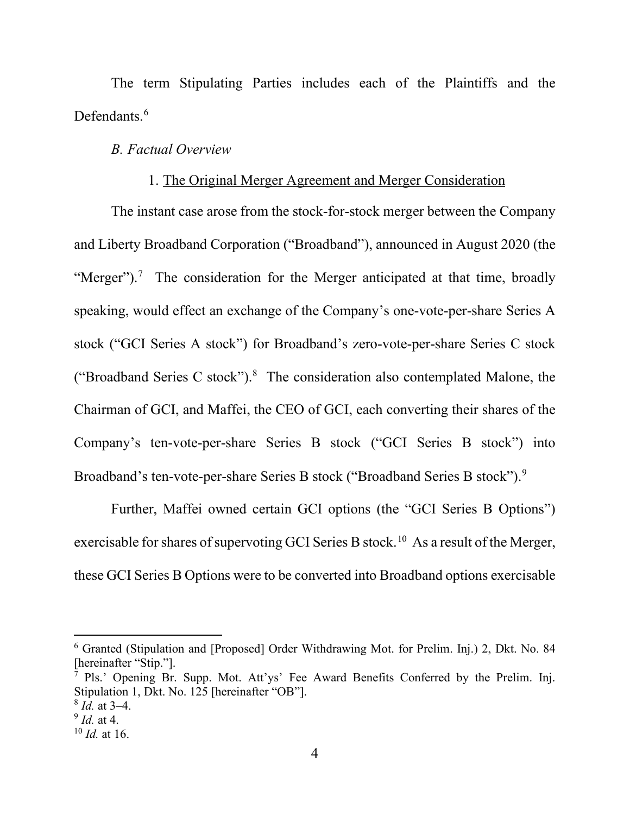The term Stipulating Parties includes each of the Plaintiffs and the Defendants.<sup>6</sup>

#### *B. Factual Overview*

#### 1. The Original Merger Agreement and Merger Consideration

The instant case arose from the stock-for-stock merger between the Company and Liberty Broadband Corporation ("Broadband"), announced in August 2020 (the "Merger").<sup>7</sup> The consideration for the Merger anticipated at that time, broadly speaking, would effect an exchange of the Company's one-vote-per-share Series A stock ("GCI Series A stock") for Broadband's zero-vote-per-share Series C stock ("Broadband Series C stock"). $8$  The consideration also contemplated Malone, the Chairman of GCI, and Maffei, the CEO of GCI, each converting their shares of the Company's ten-vote-per-share Series B stock ("GCI Series B stock") into Broadband's ten-vote-per-share Series B stock ("Broadband Series B stock").<sup>9</sup>

Further, Maffei owned certain GCI options (the "GCI Series B Options") exercisable for shares of supervoting GCI Series B stock.<sup>10</sup> As a result of the Merger, these GCI Series B Options were to be converted into Broadband options exercisable

<sup>6</sup> Granted (Stipulation and [Proposed] Order Withdrawing Mot. for Prelim. Inj.) 2, Dkt. No. 84 [hereinafter "Stip."].

<sup>&</sup>lt;sup>7</sup> Pls.' Opening Br. Supp. Mot. Att'ys' Fee Award Benefits Conferred by the Prelim. Inj. Stipulation 1, Dkt. No. 125 [hereinafter "OB"].

<sup>8</sup> *Id.* at 3–4.

<sup>9</sup> *Id.* at 4.

<sup>10</sup> *Id.* at 16.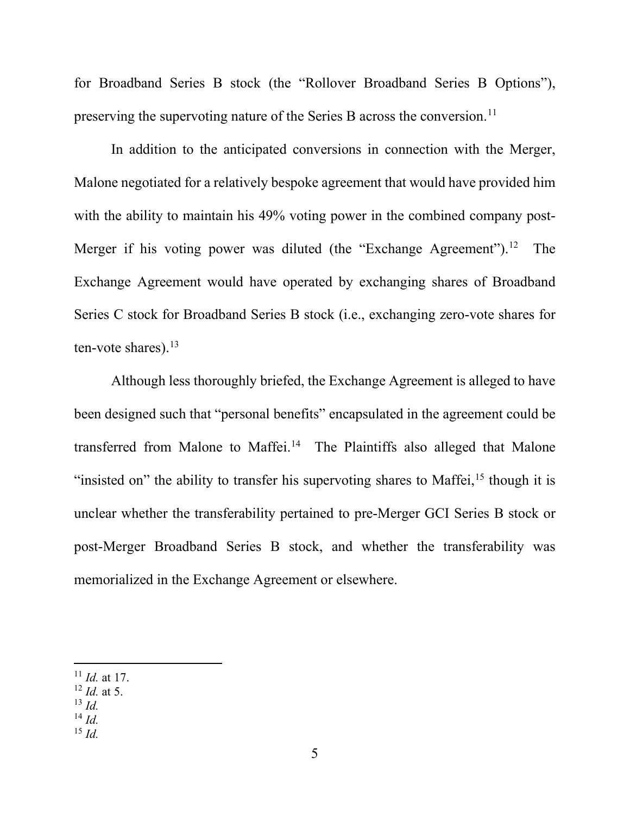for Broadband Series B stock (the "Rollover Broadband Series B Options"), preserving the supervoting nature of the Series B across the conversion.<sup>11</sup>

In addition to the anticipated conversions in connection with the Merger, Malone negotiated for a relatively bespoke agreement that would have provided him with the ability to maintain his 49% voting power in the combined company post-Merger if his voting power was diluted (the "Exchange Agreement").<sup>12</sup> The Exchange Agreement would have operated by exchanging shares of Broadband Series C stock for Broadband Series B stock (i.e., exchanging zero-vote shares for ten-vote shares). $13$ 

Although less thoroughly briefed, the Exchange Agreement is alleged to have been designed such that "personal benefits" encapsulated in the agreement could be transferred from Malone to Maffei.<sup>14</sup> The Plaintiffs also alleged that Malone "insisted on" the ability to transfer his supervoting shares to Maffei, $15$  though it is unclear whether the transferability pertained to pre-Merger GCI Series B stock or post-Merger Broadband Series B stock, and whether the transferability was memorialized in the Exchange Agreement or elsewhere.

- <sup>12</sup> *Id.* at 5.
- <sup>13</sup> *Id.*
- $^{14}$  *Id.*
- $^{15}$  *Id*.

 $11$  *Id.* at 17.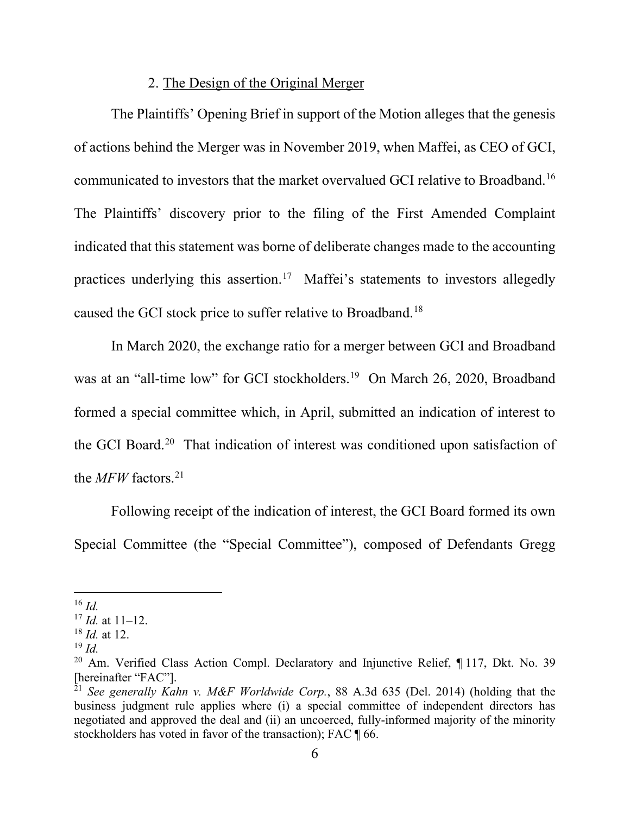### 2. The Design of the Original Merger

The Plaintiffs' Opening Brief in support of the Motion alleges that the genesis of actions behind the Merger was in November 2019, when Maffei, as CEO of GCI, communicated to investors that the market overvalued GCI relative to Broadband.16 The Plaintiffs' discovery prior to the filing of the First Amended Complaint indicated that this statement was borne of deliberate changes made to the accounting practices underlying this assertion.17 Maffei's statements to investors allegedly caused the GCI stock price to suffer relative to Broadband.18

In March 2020, the exchange ratio for a merger between GCI and Broadband was at an "all-time low" for GCI stockholders.<sup>19</sup> On March 26, 2020, Broadband formed a special committee which, in April, submitted an indication of interest to the GCI Board.20 That indication of interest was conditioned upon satisfaction of the *MFW* factors.21

Following receipt of the indication of interest, the GCI Board formed its own Special Committee (the "Special Committee"), composed of Defendants Gregg

 $16$  *Id.* 

<sup>17</sup> *Id.* at 11–12.

<sup>18</sup> *Id.* at 12.

 $19 \; Id.$ 

<sup>&</sup>lt;sup>20</sup> Am. Verified Class Action Compl. Declaratory and Injunctive Relief, ¶ 117, Dkt. No. 39 [hereinafter "FAC"].

<sup>&</sup>lt;sup>21</sup> See generally Kahn v. M&F Worldwide Corp., 88 A.3d 635 (Del. 2014) (holding that the business judgment rule applies where (i) a special committee of independent directors has negotiated and approved the deal and (ii) an uncoerced, fully-informed majority of the minority stockholders has voted in favor of the transaction); FAC  $\P$  66.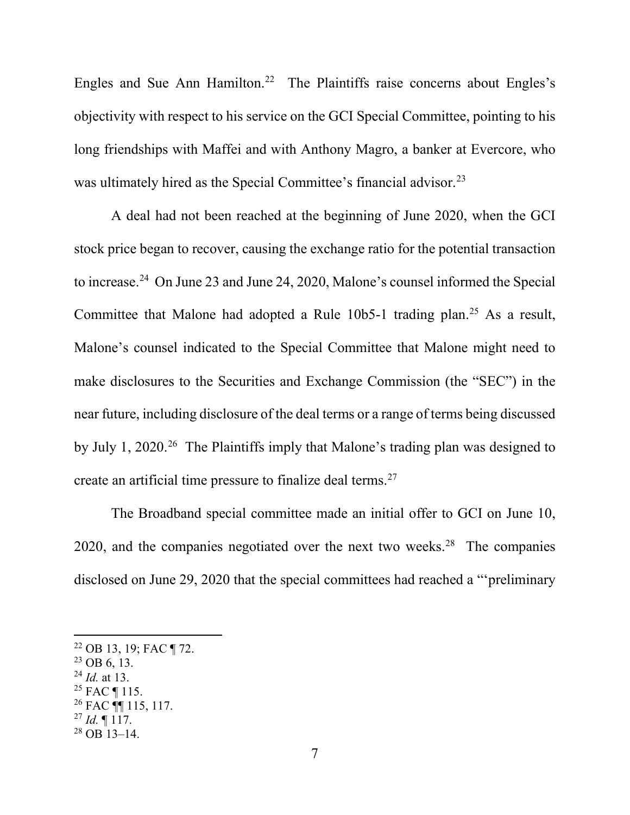Engles and Sue Ann Hamilton.<sup>22</sup> The Plaintiffs raise concerns about Engles's objectivity with respect to his service on the GCI Special Committee, pointing to his long friendships with Maffei and with Anthony Magro, a banker at Evercore, who was ultimately hired as the Special Committee's financial advisor.<sup>23</sup>

A deal had not been reached at the beginning of June 2020, when the GCI stock price began to recover, causing the exchange ratio for the potential transaction to increase.24 On June 23 and June 24, 2020, Malone's counsel informed the Special Committee that Malone had adopted a Rule  $10b5-1$  trading plan.<sup>25</sup> As a result, Malone's counsel indicated to the Special Committee that Malone might need to make disclosures to the Securities and Exchange Commission (the "SEC") in the near future, including disclosure of the deal terms or a range of terms being discussed by July 1, 2020. <sup>26</sup> The Plaintiffs imply that Malone's trading plan was designed to create an artificial time pressure to finalize deal terms.27

The Broadband special committee made an initial offer to GCI on June 10, 2020, and the companies negotiated over the next two weeks.<sup>28</sup> The companies disclosed on June 29, 2020 that the special committees had reached a "'preliminary

- <sup>24</sup> *Id.* at 13.
- $25$  FAC ¶ 115.
- $26$  FAC  $\P$  115, 117.
- $^{27}$  *Id.* ¶ 117.

<sup>22</sup> OB 13, 19; FAC ¶ 72.

 $^{23}$  OB 6, 13.

 $^{28}$  OB 13–14.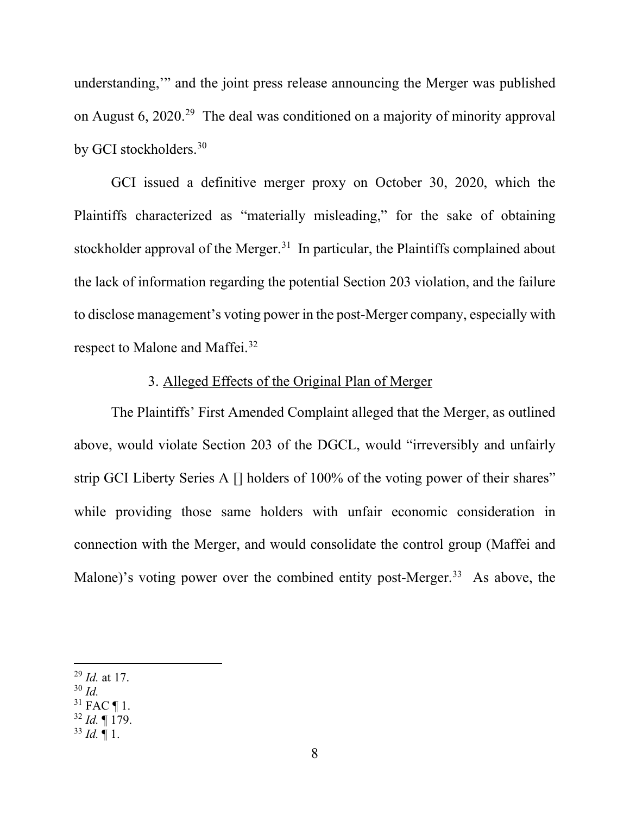understanding,'" and the joint press release announcing the Merger was published on August 6, 2020.29 The deal was conditioned on a majority of minority approval by GCI stockholders. 30

GCI issued a definitive merger proxy on October 30, 2020, which the Plaintiffs characterized as "materially misleading," for the sake of obtaining stockholder approval of the Merger.<sup>31</sup> In particular, the Plaintiffs complained about the lack of information regarding the potential Section 203 violation, and the failure to disclose management's voting power in the post-Merger company, especially with respect to Malone and Maffei.<sup>32</sup>

## 3. Alleged Effects of the Original Plan of Merger

The Plaintiffs' First Amended Complaint alleged that the Merger, as outlined above, would violate Section 203 of the DGCL, would "irreversibly and unfairly strip GCI Liberty Series A [] holders of 100% of the voting power of their shares" while providing those same holders with unfair economic consideration in connection with the Merger, and would consolidate the control group (Maffei and Malone)'s voting power over the combined entity post-Merger.<sup>33</sup> As above, the

- $30$  *Id.*
- $31$  FAC ¶ 1.
- <sup>32</sup> *Id.* ¶ 179.
- $33$  *Id.* 1.

<sup>29</sup> *Id.* at 17.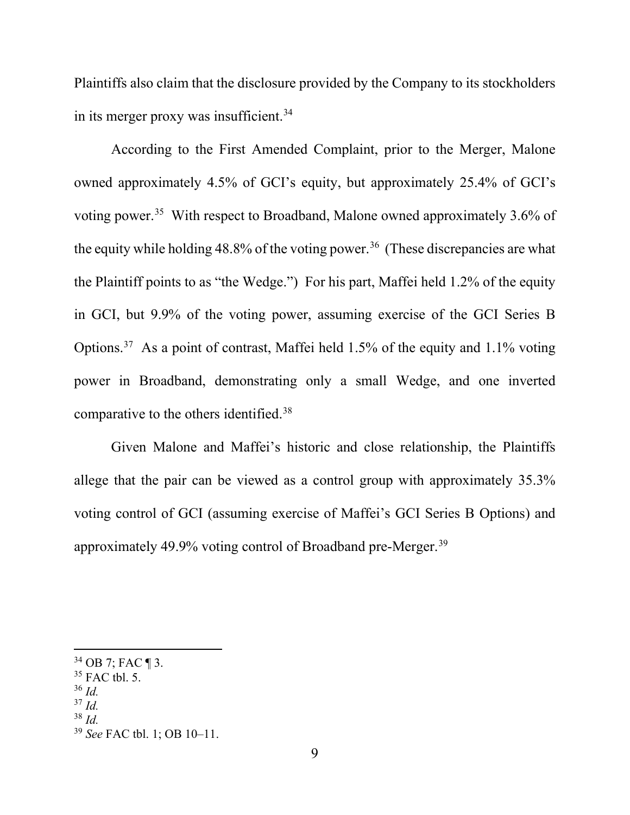Plaintiffs also claim that the disclosure provided by the Company to its stockholders in its merger proxy was insufficient.<sup>34</sup>

According to the First Amended Complaint, prior to the Merger, Malone owned approximately 4.5% of GCI's equity, but approximately 25.4% of GCI's voting power.35 With respect to Broadband, Malone owned approximately 3.6% of the equity while holding  $48.8\%$  of the voting power.<sup>36</sup> (These discrepancies are what the Plaintiff points to as "the Wedge.") For his part, Maffei held 1.2% of the equity in GCI, but 9.9% of the voting power, assuming exercise of the GCI Series B Options.<sup>37</sup> As a point of contrast, Maffei held 1.5% of the equity and 1.1% voting power in Broadband, demonstrating only a small Wedge, and one inverted comparative to the others identified.<sup>38</sup>

Given Malone and Maffei's historic and close relationship, the Plaintiffs allege that the pair can be viewed as a control group with approximately 35.3% voting control of GCI (assuming exercise of Maffei's GCI Series B Options) and approximately 49.9% voting control of Broadband pre-Merger.39

- $36$  *Id.*
- <sup>37</sup> *Id.*

<sup>34</sup> OB 7; FAC ¶ 3.

 $35$  FAC tbl. 5.

<sup>38</sup> *Id.*

<sup>39</sup> *See* FAC tbl. 1; OB 10–11.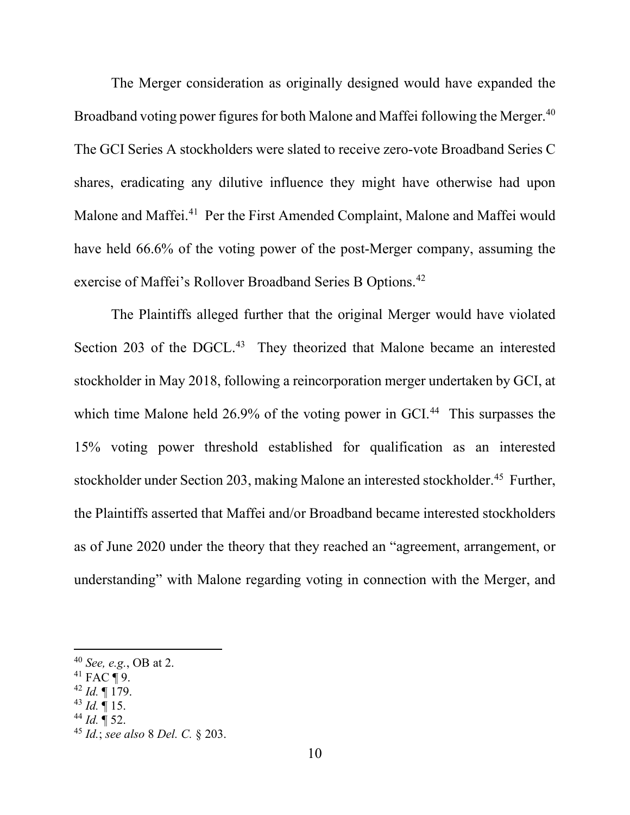The Merger consideration as originally designed would have expanded the Broadband voting power figures for both Malone and Maffei following the Merger. $^{40}$ The GCI Series A stockholders were slated to receive zero-vote Broadband Series C shares, eradicating any dilutive influence they might have otherwise had upon Malone and Maffei.<sup>41</sup> Per the First Amended Complaint, Malone and Maffei would have held 66.6% of the voting power of the post-Merger company, assuming the exercise of Maffei's Rollover Broadband Series B Options.<sup>42</sup>

The Plaintiffs alleged further that the original Merger would have violated Section 203 of the DGCL.<sup>43</sup> They theorized that Malone became an interested stockholder in May 2018, following a reincorporation merger undertaken by GCI, at which time Malone held 26.9% of the voting power in GCI.<sup>44</sup> This surpasses the 15% voting power threshold established for qualification as an interested stockholder under Section 203, making Malone an interested stockholder.<sup>45</sup> Further, the Plaintiffs asserted that Maffei and/or Broadband became interested stockholders as of June 2020 under the theory that they reached an "agreement, arrangement, or understanding" with Malone regarding voting in connection with the Merger, and

- <sup>42</sup> *Id.* ¶ 179.
- $43$  *Id.*  $\blacksquare$  15.
- $44$  *Id.*  $\P$  52.

<sup>40</sup> *See, e.g.*, OB at 2.

 $41$  FAC ¶ 9.

<sup>45</sup> *Id.*; *see also* 8 *Del. C.* § 203.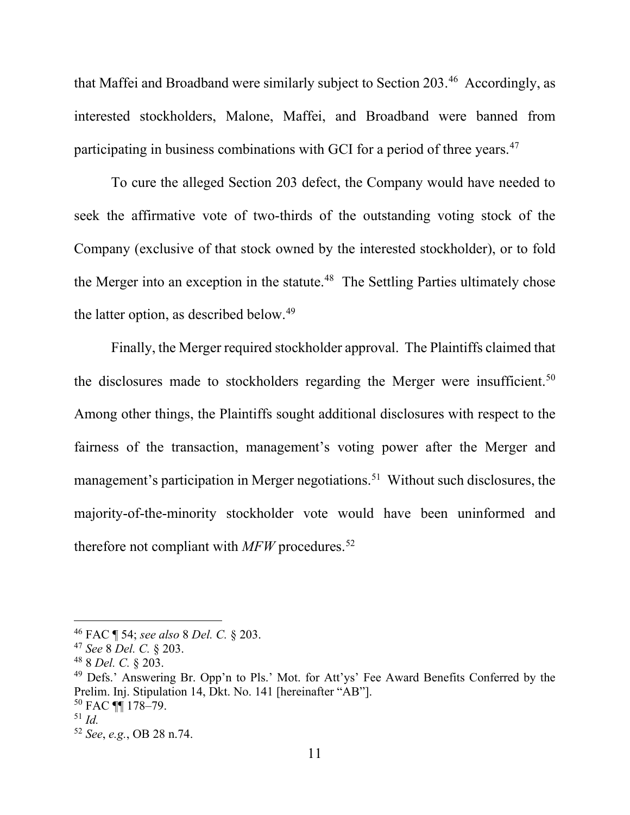that Maffei and Broadband were similarly subject to Section 203.46 Accordingly, as interested stockholders, Malone, Maffei, and Broadband were banned from participating in business combinations with GCI for a period of three years.<sup>47</sup>

To cure the alleged Section 203 defect, the Company would have needed to seek the affirmative vote of two-thirds of the outstanding voting stock of the Company (exclusive of that stock owned by the interested stockholder), or to fold the Merger into an exception in the statute.<sup>48</sup> The Settling Parties ultimately chose the latter option, as described below.<sup>49</sup>

Finally, the Merger required stockholder approval. The Plaintiffs claimed that the disclosures made to stockholders regarding the Merger were insufficient.<sup>50</sup> Among other things, the Plaintiffs sought additional disclosures with respect to the fairness of the transaction, management's voting power after the Merger and management's participation in Merger negotiations. <sup>51</sup> Without such disclosures, the majority-of-the-minority stockholder vote would have been uninformed and therefore not compliant with *MFW* procedures.<sup>52</sup>

<sup>46</sup> FAC ¶ 54; *see also* 8 *Del. C.* § 203.

<sup>47</sup> *See* 8 *Del. C.* § 203.

<sup>48</sup> 8 *Del. C.* § 203.

<sup>&</sup>lt;sup>49</sup> Defs.' Answering Br. Opp'n to Pls.' Mot. for Att'ys' Fee Award Benefits Conferred by the Prelim. Inj. Stipulation 14, Dkt. No. 141 [hereinafter "AB"].  $50$  FAC  $\P$  178-79.

<sup>51</sup> *Id.*

<sup>52</sup> *See*, *e.g.*, OB 28 n.74.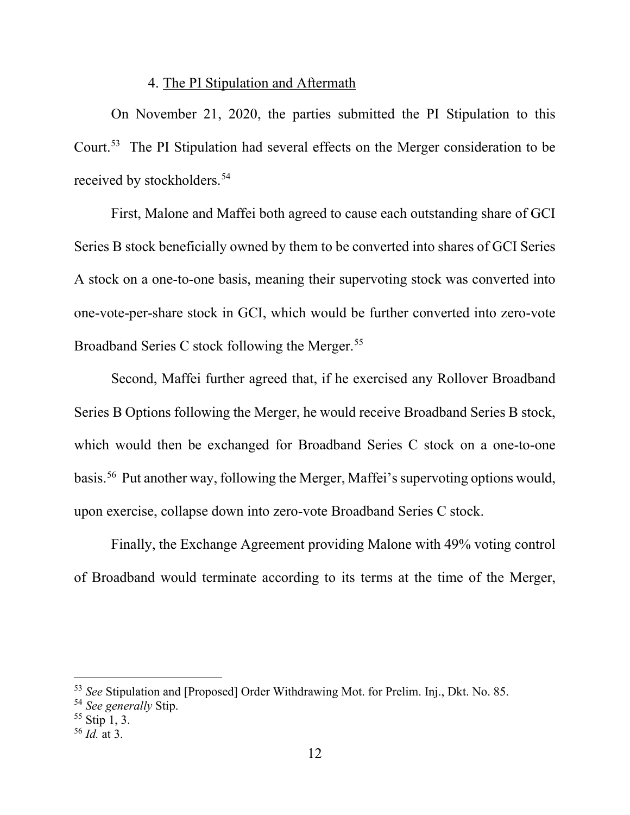#### 4. The PI Stipulation and Aftermath

On November 21, 2020, the parties submitted the PI Stipulation to this Court.53 The PI Stipulation had several effects on the Merger consideration to be received by stockholders. 54

First, Malone and Maffei both agreed to cause each outstanding share of GCI Series B stock beneficially owned by them to be converted into shares of GCI Series A stock on a one-to-one basis, meaning their supervoting stock was converted into one-vote-per-share stock in GCI, which would be further converted into zero-vote Broadband Series C stock following the Merger.<sup>55</sup>

Second, Maffei further agreed that, if he exercised any Rollover Broadband Series B Options following the Merger, he would receive Broadband Series B stock, which would then be exchanged for Broadband Series C stock on a one-to-one basis.56 Put another way, following the Merger, Maffei's supervoting options would, upon exercise, collapse down into zero-vote Broadband Series C stock.

Finally, the Exchange Agreement providing Malone with 49% voting control of Broadband would terminate according to its terms at the time of the Merger,

<sup>53</sup> *See* Stipulation and [Proposed] Order Withdrawing Mot. for Prelim. Inj., Dkt. No. 85.

<sup>54</sup> *See generally* Stip.

<sup>55</sup> Stip 1, 3.

<sup>56</sup> *Id.* at 3.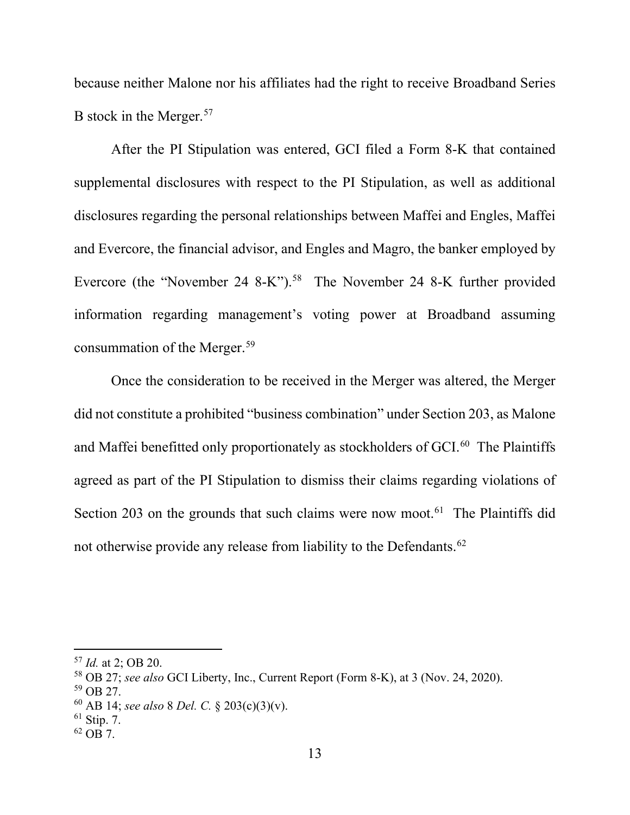because neither Malone nor his affiliates had the right to receive Broadband Series B stock in the Merger.<sup>57</sup>

After the PI Stipulation was entered, GCI filed a Form 8-K that contained supplemental disclosures with respect to the PI Stipulation, as well as additional disclosures regarding the personal relationships between Maffei and Engles, Maffei and Evercore, the financial advisor, and Engles and Magro, the banker employed by Evercore (the "November 24 8-K"). <sup>58</sup> The November 24 8-K further provided information regarding management's voting power at Broadband assuming consummation of the Merger.59

Once the consideration to be received in the Merger was altered, the Merger did not constitute a prohibited "business combination" under Section 203, as Malone and Maffei benefitted only proportionately as stockholders of GCI.<sup>60</sup> The Plaintiffs agreed as part of the PI Stipulation to dismiss their claims regarding violations of Section 203 on the grounds that such claims were now moot.<sup>61</sup> The Plaintiffs did not otherwise provide any release from liability to the Defendants.<sup>62</sup>

 $62$  OB 7.

<sup>57</sup> *Id.* at 2; OB 20.

<sup>58</sup> OB 27; *see also* GCI Liberty, Inc., Current Report (Form 8-K), at 3 (Nov. 24, 2020). 59 OB 27.

<sup>60</sup> AB 14; *see also* 8 *Del. C.* § 203(c)(3)(v).

 $61$  Stip. 7.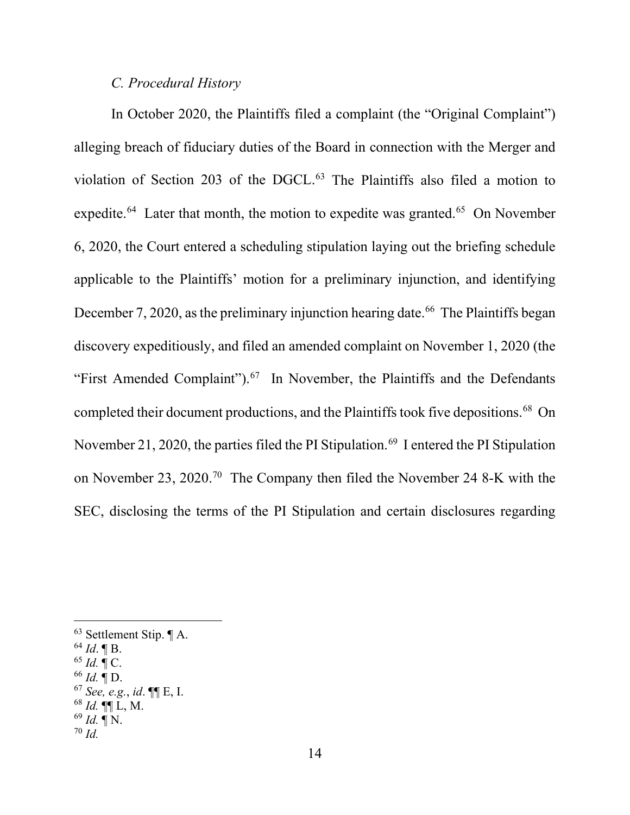#### *C. Procedural History*

In October 2020, the Plaintiffs filed a complaint (the "Original Complaint") alleging breach of fiduciary duties of the Board in connection with the Merger and violation of Section 203 of the DGCL. <sup>63</sup> The Plaintiffs also filed a motion to expedite.<sup>64</sup> Later that month, the motion to expedite was granted.<sup>65</sup> On November 6, 2020, the Court entered a scheduling stipulation laying out the briefing schedule applicable to the Plaintiffs' motion for a preliminary injunction, and identifying December 7, 2020, as the preliminary injunction hearing date.<sup>66</sup> The Plaintiffs began discovery expeditiously, and filed an amended complaint on November 1, 2020 (the "First Amended Complaint").<sup>67</sup> In November, the Plaintiffs and the Defendants completed their document productions, and the Plaintiffs took five depositions.<sup>68</sup> On November 21, 2020, the parties filed the PI Stipulation.<sup>69</sup> I entered the PI Stipulation on November 23, 2020.70 The Company then filed the November 24 8-K with the SEC, disclosing the terms of the PI Stipulation and certain disclosures regarding

- <sup>65</sup> *Id.* ¶ C.
- <sup>66</sup> *Id.* ¶ D.
- <sup>67</sup> *See, e.g.*, *id*. ¶¶ E, I.
- <sup>68</sup> *Id.* ¶¶ L, M.
- $69$  *Id.*  $\P N$ . <sup>70</sup> *Id.*

<sup>63</sup> Settlement Stip. ¶ A.

 $^{64}$  *Id*. **[B.**]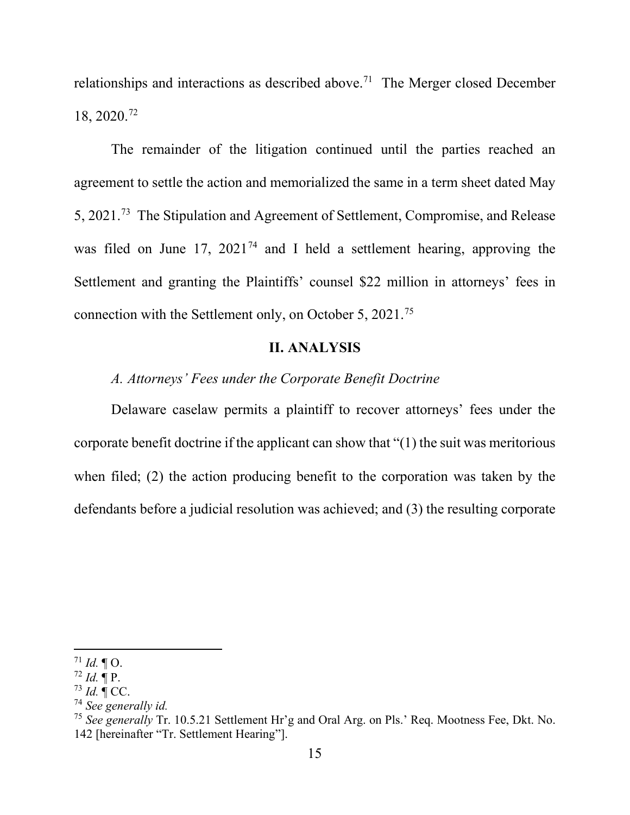relationships and interactions as described above.<sup>71</sup> The Merger closed December 18, 2020.72

The remainder of the litigation continued until the parties reached an agreement to settle the action and memorialized the same in a term sheet dated May 5, 2021.73 The Stipulation and Agreement of Settlement, Compromise, and Release was filed on June 17, 2021<sup>74</sup> and I held a settlement hearing, approving the Settlement and granting the Plaintiffs' counsel \$22 million in attorneys' fees in connection with the Settlement only, on October 5, 2021.75

## **II. ANALYSIS**

*A. Attorneys' Fees under the Corporate Benefit Doctrine*

Delaware caselaw permits a plaintiff to recover attorneys' fees under the corporate benefit doctrine if the applicant can show that "(1) the suit was meritorious when filed; (2) the action producing benefit to the corporation was taken by the defendants before a judicial resolution was achieved; and (3) the resulting corporate

 $71$  *Id.*  $\P$  O.

 $72$  *Id.* ¶ P.

 $^{73}$  *Id.*  $\mathbb{C}$  CC.

<sup>74</sup> *See generally id.*

<sup>75</sup> *See generally* Tr. 10.5.21 Settlement Hr'g and Oral Arg. on Pls.' Req. Mootness Fee, Dkt. No. 142 [hereinafter "Tr. Settlement Hearing"].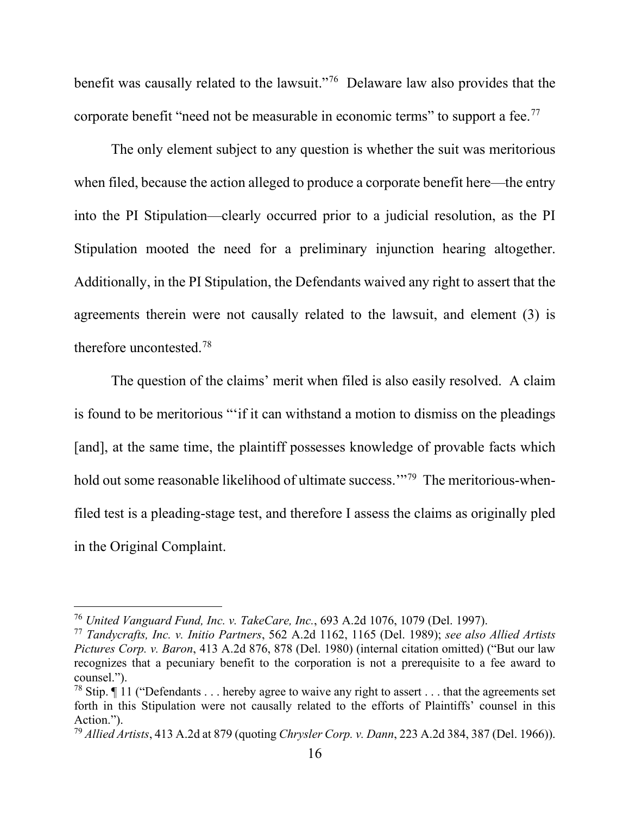benefit was causally related to the lawsuit."76 Delaware law also provides that the corporate benefit "need not be measurable in economic terms" to support a fee.<sup>77</sup>

The only element subject to any question is whether the suit was meritorious when filed, because the action alleged to produce a corporate benefit here—the entry into the PI Stipulation—clearly occurred prior to a judicial resolution, as the PI Stipulation mooted the need for a preliminary injunction hearing altogether. Additionally, in the PI Stipulation, the Defendants waived any right to assert that the agreements therein were not causally related to the lawsuit, and element (3) is therefore uncontested.78

The question of the claims' merit when filed is also easily resolved. A claim is found to be meritorious "'if it can withstand a motion to dismiss on the pleadings [and], at the same time, the plaintiff possesses knowledge of provable facts which hold out some reasonable likelihood of ultimate success."<sup>79</sup> The meritorious-whenfiled test is a pleading-stage test, and therefore I assess the claims as originally pled in the Original Complaint.

<sup>76</sup> *United Vanguard Fund, Inc. v. TakeCare, Inc.*, 693 A.2d 1076, 1079 (Del. 1997).

<sup>77</sup> *Tandycrafts, Inc. v. Initio Partners*, 562 A.2d 1162, 1165 (Del. 1989); *see also Allied Artists Pictures Corp. v. Baron*, 413 A.2d 876, 878 (Del. 1980) (internal citation omitted) ("But our law recognizes that a pecuniary benefit to the corporation is not a prerequisite to a fee award to counsel.").

<sup>&</sup>lt;sup>78</sup> Stip.  $\P$  11 ("Defendants . . . hereby agree to waive any right to assert . . . that the agreements set forth in this Stipulation were not causally related to the efforts of Plaintiffs' counsel in this Action.").

<sup>79</sup> *Allied Artists*, 413 A.2d at 879 (quoting *Chrysler Corp. v. Dann*, 223 A.2d 384, 387 (Del. 1966)).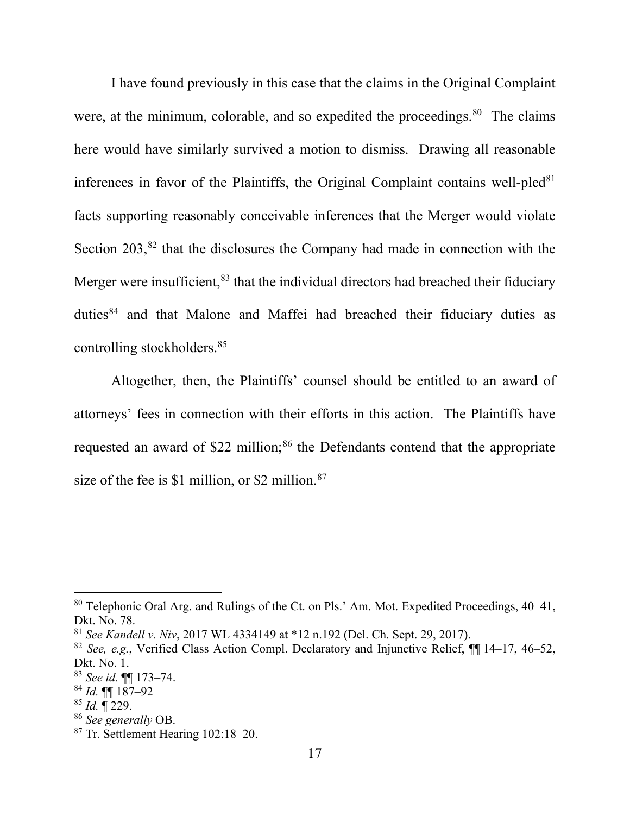I have found previously in this case that the claims in the Original Complaint were, at the minimum, colorable, and so expedited the proceedings.<sup>80</sup> The claims here would have similarly survived a motion to dismiss. Drawing all reasonable inferences in favor of the Plaintiffs, the Original Complaint contains well-pled $81$ facts supporting reasonably conceivable inferences that the Merger would violate Section  $203$ ,  $82$  that the disclosures the Company had made in connection with the Merger were insufficient,<sup>83</sup> that the individual directors had breached their fiduciary duties<sup>84</sup> and that Malone and Maffei had breached their fiduciary duties as controlling stockholders.85

Altogether, then, the Plaintiffs' counsel should be entitled to an award of attorneys' fees in connection with their efforts in this action. The Plaintiffs have requested an award of \$22 million;<sup>86</sup> the Defendants contend that the appropriate size of the fee is \$1 million, or \$2 million. $87$ 

<sup>85</sup> *Id.* ¶ 229.

<sup>80</sup> Telephonic Oral Arg. and Rulings of the Ct. on Pls.' Am. Mot. Expedited Proceedings, 40–41, Dkt. No. 78.

<sup>81</sup> *See Kandell v. Niv*, 2017 WL 4334149 at \*12 n.192 (Del. Ch. Sept. 29, 2017).

<sup>82</sup> *See, e.g.*, Verified Class Action Compl. Declaratory and Injunctive Relief, ¶¶ 14–17, 46–52, Dkt. No. 1.

<sup>83</sup> *See id.* ¶¶ 173–74.

<sup>84</sup> *Id.* ¶¶ 187–92

<sup>&</sup>lt;sup>87</sup> Tr. Settlement Hearing 102:18–20.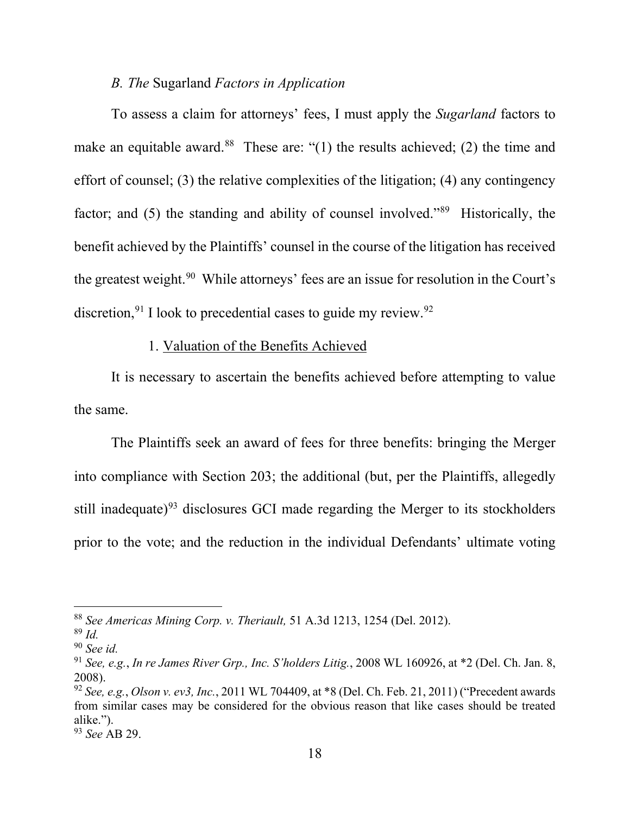## *B. The* Sugarland *Factors in Application*

To assess a claim for attorneys' fees, I must apply the *Sugarland* factors to make an equitable award.<sup>88</sup> These are: "(1) the results achieved; (2) the time and effort of counsel; (3) the relative complexities of the litigation; (4) any contingency factor; and (5) the standing and ability of counsel involved."<sup>89</sup> Historically, the benefit achieved by the Plaintiffs' counsel in the course of the litigation has received the greatest weight.<sup>90</sup> While attorneys' fees are an issue for resolution in the Court's discretion,  $91$  I look to precedential cases to guide my review.  $92$ 

## 1. Valuation of the Benefits Achieved

It is necessary to ascertain the benefits achieved before attempting to value the same.

The Plaintiffs seek an award of fees for three benefits: bringing the Merger into compliance with Section 203; the additional (but, per the Plaintiffs, allegedly still inadequate) $93$  disclosures GCI made regarding the Merger to its stockholders prior to the vote; and the reduction in the individual Defendants' ultimate voting

<sup>88</sup> *See Americas Mining Corp. v. Theriault,* 51 A.3d 1213, 1254 (Del. 2012).

<sup>89</sup> *Id.* 

<sup>90</sup> *See id.* 

<sup>91</sup> *See, e.g.*, *In re James River Grp., Inc. S'holders Litig.*, 2008 WL 160926, at \*2 (Del. Ch. Jan. 8, 2008).

<sup>92</sup> *See, e.g.*, *Olson v. ev3, Inc.*, 2011 WL 704409, at \*8 (Del. Ch. Feb. 21, 2011) ("Precedent awards from similar cases may be considered for the obvious reason that like cases should be treated alike.").

<sup>93</sup> *See* AB 29.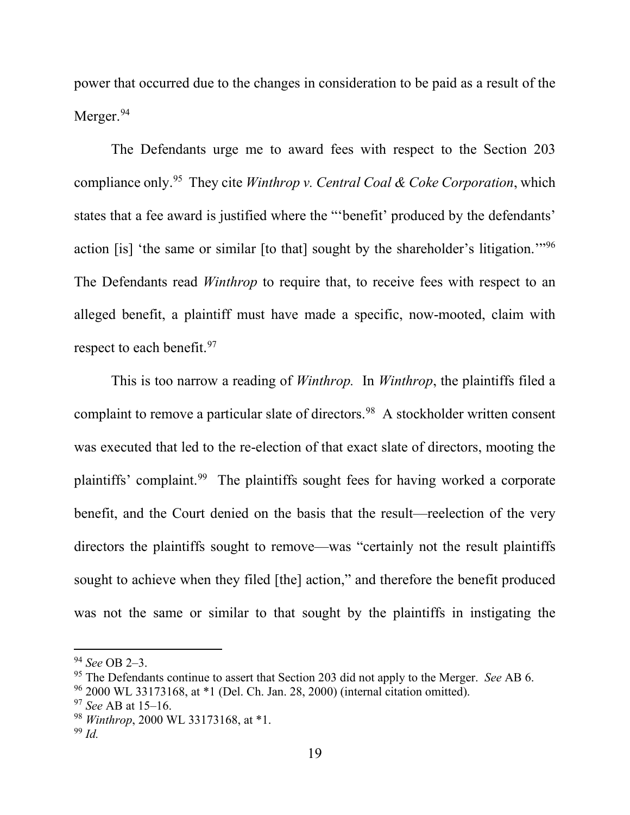power that occurred due to the changes in consideration to be paid as a result of the Merger.<sup>94</sup>

The Defendants urge me to award fees with respect to the Section 203 compliance only.95 They cite *Winthrop v. Central Coal & Coke Corporation*, which states that a fee award is justified where the "'benefit' produced by the defendants' action [is] 'the same or similar [to that] sought by the shareholder's litigation.'"96 The Defendants read *Winthrop* to require that, to receive fees with respect to an alleged benefit, a plaintiff must have made a specific, now-mooted, claim with respect to each benefit.<sup>97</sup>

This is too narrow a reading of *Winthrop.* In *Winthrop*, the plaintiffs filed a complaint to remove a particular slate of directors.<sup>98</sup> A stockholder written consent was executed that led to the re-election of that exact slate of directors, mooting the plaintiffs' complaint.99 The plaintiffs sought fees for having worked a corporate benefit, and the Court denied on the basis that the result—reelection of the very directors the plaintiffs sought to remove—was "certainly not the result plaintiffs sought to achieve when they filed [the] action," and therefore the benefit produced was not the same or similar to that sought by the plaintiffs in instigating the

<sup>94</sup> *See* OB 2–3.

<sup>95</sup> The Defendants continue to assert that Section 203 did not apply to the Merger. *See* AB 6.

 $96$  2000 WL 33173168, at  $*1$  (Del. Ch. Jan. 28, 2000) (internal citation omitted).

<sup>97</sup> *See* AB at 15–16.

<sup>98</sup> *Winthrop*, 2000 WL 33173168, at \*1.

<sup>99</sup> *Id.*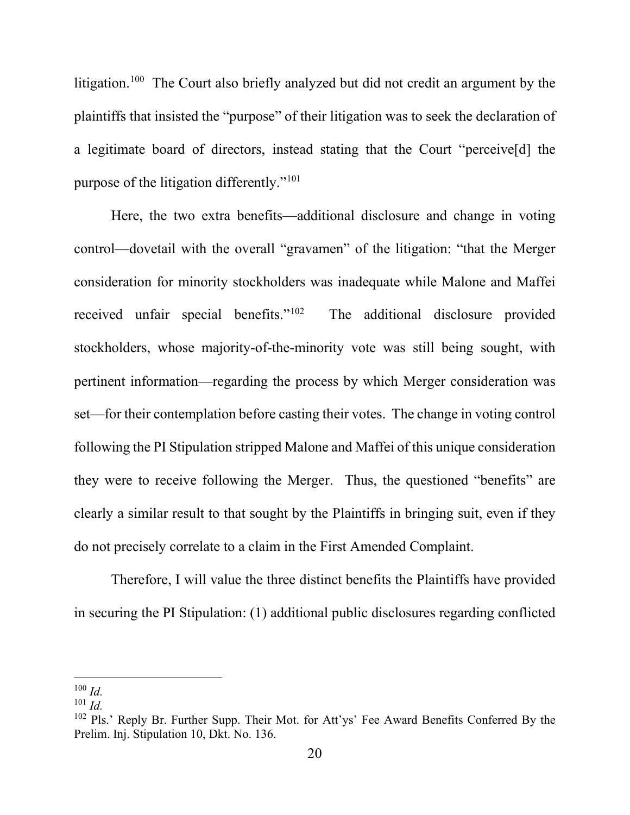litigation.<sup>100</sup> The Court also briefly analyzed but did not credit an argument by the plaintiffs that insisted the "purpose" of their litigation was to seek the declaration of a legitimate board of directors, instead stating that the Court "perceive[d] the purpose of the litigation differently."101

Here, the two extra benefits—additional disclosure and change in voting control—dovetail with the overall "gravamen" of the litigation: "that the Merger consideration for minority stockholders was inadequate while Malone and Maffei received unfair special benefits."102 The additional disclosure provided stockholders, whose majority-of-the-minority vote was still being sought, with pertinent information—regarding the process by which Merger consideration was set—for their contemplation before casting their votes. The change in voting control following the PI Stipulation stripped Malone and Maffei of this unique consideration they were to receive following the Merger. Thus, the questioned "benefits" are clearly a similar result to that sought by the Plaintiffs in bringing suit, even if they do not precisely correlate to a claim in the First Amended Complaint.

Therefore, I will value the three distinct benefits the Plaintiffs have provided in securing the PI Stipulation: (1) additional public disclosures regarding conflicted

 $100$  *Id.* 

 $101$  *Id.* 

<sup>&</sup>lt;sup>102</sup> Pls.' Reply Br. Further Supp. Their Mot. for Att'ys' Fee Award Benefits Conferred By the Prelim. Inj. Stipulation 10, Dkt. No. 136.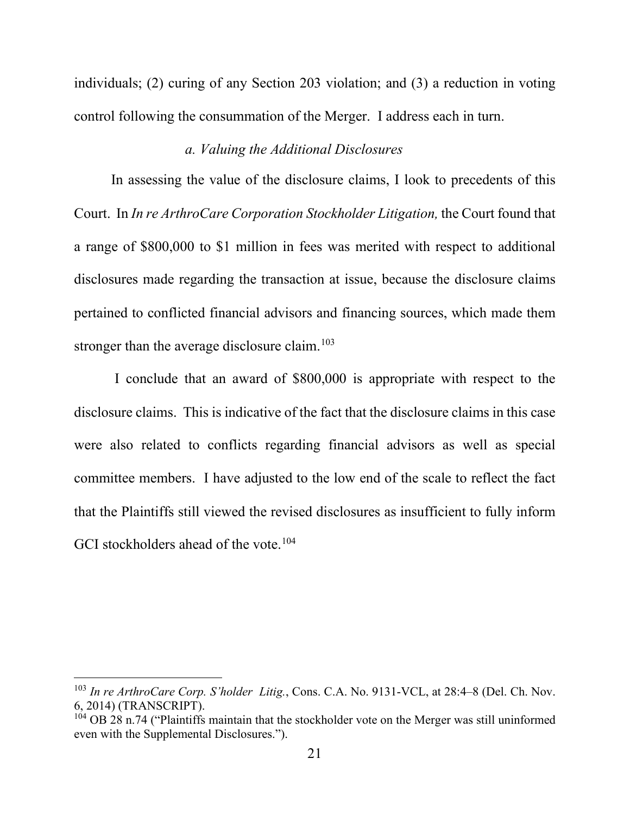individuals; (2) curing of any Section 203 violation; and (3) a reduction in voting control following the consummation of the Merger. I address each in turn.

#### *a. Valuing the Additional Disclosures*

In assessing the value of the disclosure claims, I look to precedents of this Court. In *In re ArthroCare Corporation Stockholder Litigation,* the Court found that a range of \$800,000 to \$1 million in fees was merited with respect to additional disclosures made regarding the transaction at issue, because the disclosure claims pertained to conflicted financial advisors and financing sources, which made them stronger than the average disclosure claim.<sup>103</sup>

I conclude that an award of \$800,000 is appropriate with respect to the disclosure claims. This is indicative of the fact that the disclosure claims in this case were also related to conflicts regarding financial advisors as well as special committee members. I have adjusted to the low end of the scale to reflect the fact that the Plaintiffs still viewed the revised disclosures as insufficient to fully inform GCI stockholders ahead of the vote.<sup>104</sup>

<sup>&</sup>lt;sup>103</sup> *In re ArthroCare Corp. S'holder Litig.*, Cons. C.A. No. 9131-VCL, at 28:4–8 (Del. Ch. Nov. 6, 2014) (TRANSCRIPT).

 $^{104}$  OB 28 n.74 ("Plaintiffs maintain that the stockholder vote on the Merger was still uninformed even with the Supplemental Disclosures.").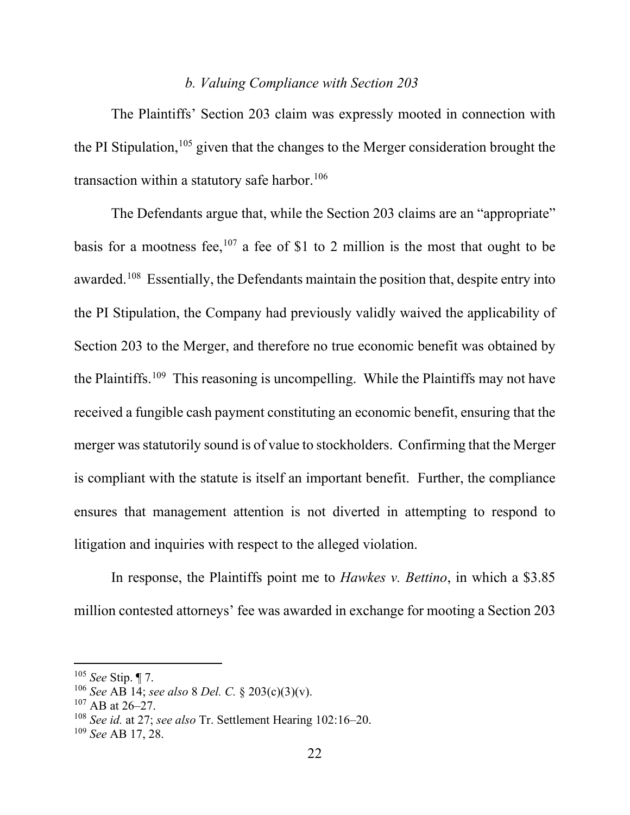#### *b. Valuing Compliance with Section 203*

The Plaintiffs' Section 203 claim was expressly mooted in connection with the PI Stipulation,  $105$  given that the changes to the Merger consideration brought the transaction within a statutory safe harbor.<sup>106</sup>

The Defendants argue that, while the Section 203 claims are an "appropriate" basis for a mootness fee,<sup>107</sup> a fee of \$1 to 2 million is the most that ought to be awarded.<sup>108</sup> Essentially, the Defendants maintain the position that, despite entry into the PI Stipulation, the Company had previously validly waived the applicability of Section 203 to the Merger, and therefore no true economic benefit was obtained by the Plaintiffs.109 This reasoning is uncompelling. While the Plaintiffs may not have received a fungible cash payment constituting an economic benefit, ensuring that the merger was statutorily sound is of value to stockholders. Confirming that the Merger is compliant with the statute is itself an important benefit. Further, the compliance ensures that management attention is not diverted in attempting to respond to litigation and inquiries with respect to the alleged violation.

In response, the Plaintiffs point me to *Hawkes v. Bettino*, in which a \$3.85 million contested attorneys' fee was awarded in exchange for mooting a Section 203

<sup>105</sup> *See* Stip. ¶ 7.

<sup>106</sup> *See* AB 14; *see also* 8 *Del. C.* § 203(c)(3)(v).

 $107$  AB at 26–27.

<sup>108</sup> *See id.* at 27; *see also* Tr. Settlement Hearing 102:16–20.

<sup>109</sup> *See* AB 17, 28.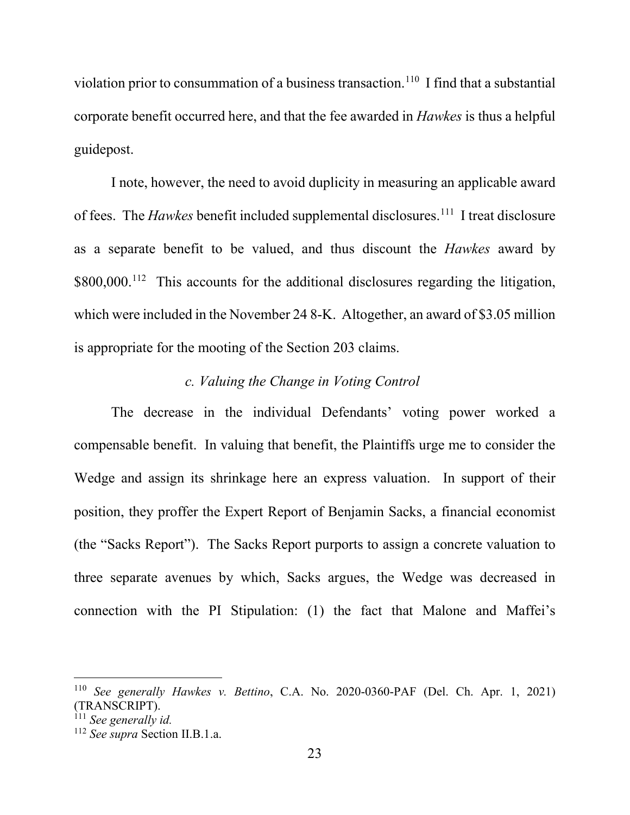violation prior to consummation of a business transaction.<sup>110</sup> I find that a substantial corporate benefit occurred here, and that the fee awarded in *Hawkes* is thus a helpful guidepost.

I note, however, the need to avoid duplicity in measuring an applicable award of fees. The *Hawkes* benefit included supplemental disclosures.<sup>111</sup> I treat disclosure as a separate benefit to be valued, and thus discount the *Hawkes* award by \$800,000.<sup>112</sup> This accounts for the additional disclosures regarding the litigation, which were included in the November 24 8-K. Altogether, an award of \$3.05 million is appropriate for the mooting of the Section 203 claims.

## *c. Valuing the Change in Voting Control*

The decrease in the individual Defendants' voting power worked a compensable benefit. In valuing that benefit, the Plaintiffs urge me to consider the Wedge and assign its shrinkage here an express valuation. In support of their position, they proffer the Expert Report of Benjamin Sacks, a financial economist (the "Sacks Report"). The Sacks Report purports to assign a concrete valuation to three separate avenues by which, Sacks argues, the Wedge was decreased in connection with the PI Stipulation: (1) the fact that Malone and Maffei's

<sup>110</sup> *See generally Hawkes v. Bettino*, C.A. No. 2020-0360-PAF (Del. Ch. Apr. 1, 2021) (TRANSCRIPT). 111 *See generally id.* 

<sup>112</sup> *See supra* Section II.B.1.a.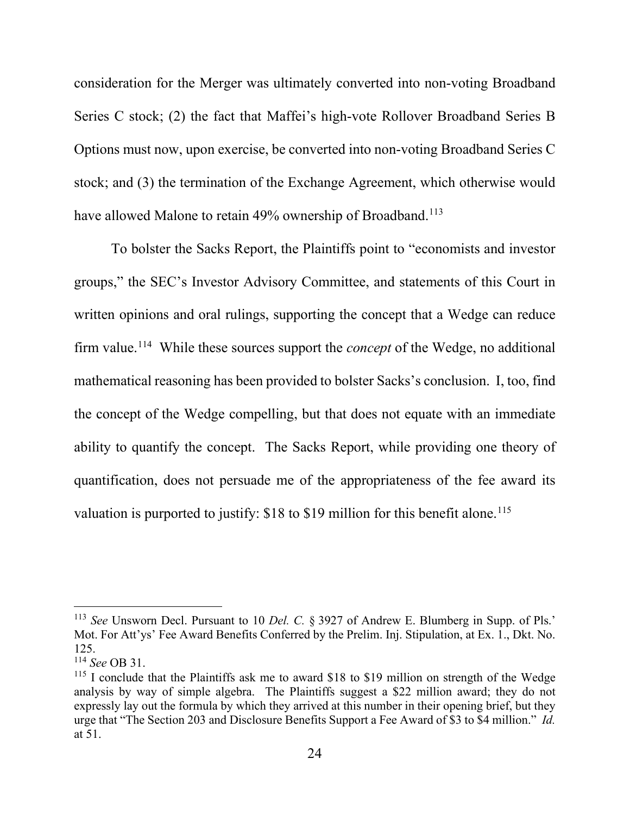consideration for the Merger was ultimately converted into non-voting Broadband Series C stock; (2) the fact that Maffei's high-vote Rollover Broadband Series B Options must now, upon exercise, be converted into non-voting Broadband Series C stock; and (3) the termination of the Exchange Agreement, which otherwise would have allowed Malone to retain 49% ownership of Broadband.<sup>113</sup>

To bolster the Sacks Report, the Plaintiffs point to "economists and investor groups," the SEC's Investor Advisory Committee, and statements of this Court in written opinions and oral rulings, supporting the concept that a Wedge can reduce firm value.114 While these sources support the *concept* of the Wedge, no additional mathematical reasoning has been provided to bolster Sacks's conclusion. I, too, find the concept of the Wedge compelling, but that does not equate with an immediate ability to quantify the concept. The Sacks Report, while providing one theory of quantification, does not persuade me of the appropriateness of the fee award its valuation is purported to justify:  $$18$  to  $$19$  million for this benefit alone.<sup>115</sup>

<sup>113</sup> *See* Unsworn Decl. Pursuant to 10 *Del. C.* § 3927 of Andrew E. Blumberg in Supp. of Pls.' Mot. For Att'ys' Fee Award Benefits Conferred by the Prelim. Inj. Stipulation, at Ex. 1., Dkt. No. 125.

<sup>114</sup> *See* OB 31.

<sup>&</sup>lt;sup>115</sup> I conclude that the Plaintiffs ask me to award \$18 to \$19 million on strength of the Wedge analysis by way of simple algebra. The Plaintiffs suggest a \$22 million award; they do not expressly lay out the formula by which they arrived at this number in their opening brief, but they urge that "The Section 203 and Disclosure Benefits Support a Fee Award of \$3 to \$4 million." *Id.*  at 51.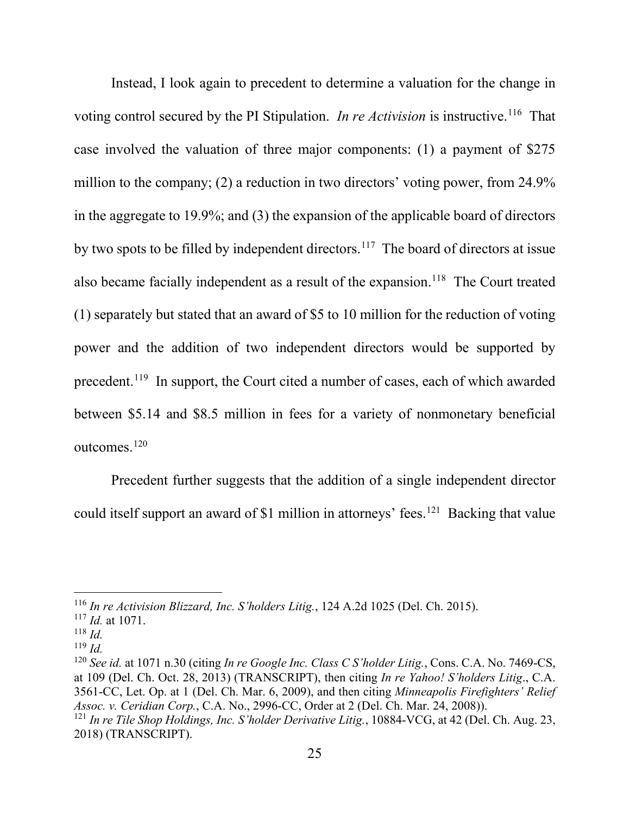Instead, I look again to precedent to determine a valuation for the change in voting control secured by the PI Stipulation. *In re Activision* is instructive.<sup>116</sup> That case involved the valuation of three major components: (1) a payment of \$275 million to the company; (2) a reduction in two directors' voting power, from 24.9% in the aggregate to 19.9%; and (3) the expansion of the applicable board of directors by two spots to be filled by independent directors.<sup>117</sup> The board of directors at issue also became facially independent as a result of the expansion.<sup>118</sup> The Court treated (1) separately but stated that an award of \$5 to 10 million for the reduction of voting power and the addition of two independent directors would be supported by precedent.119 In support, the Court cited a number of cases, each of which awarded between \$5.14 and \$8.5 million in fees for a variety of nonmonetary beneficial outcomes.120

Precedent further suggests that the addition of a single independent director could itself support an award of \$1 million in attorneys' fees.<sup>121</sup> Backing that value

<sup>116</sup> *In re Activision Blizzard, Inc. S'holders Litig.*, 124 A.2d 1025 (Del. Ch. 2015).

<sup>117</sup> *Id.* at 1071.

 $^{118}$  *Id.* 

<sup>119</sup> *Id.*

<sup>120</sup> *See id.* at 1071 n.30 (citing *In re Google Inc. Class C S'holder Litig.*, Cons. C.A. No. 7469-CS, at 109 (Del. Ch. Oct. 28, 2013) (TRANSCRIPT), then citing *In re Yahoo! S'holders Litig*., C.A. 3561-CC, Let. Op. at 1 (Del. Ch. Mar. 6, 2009), and then citing *Minneapolis Firefighters' Relief Assoc. v. Ceridian Corp.*, C.A. No., 2996-CC, Order at 2 (Del. Ch. Mar. 24, 2008)). <sup>121</sup> *In re Tile Shop Holdings, Inc. S'holder Derivative Litig.*, 10884-VCG, at 42 (Del. Ch. Aug. 23, 2018) (TRANSCRIPT).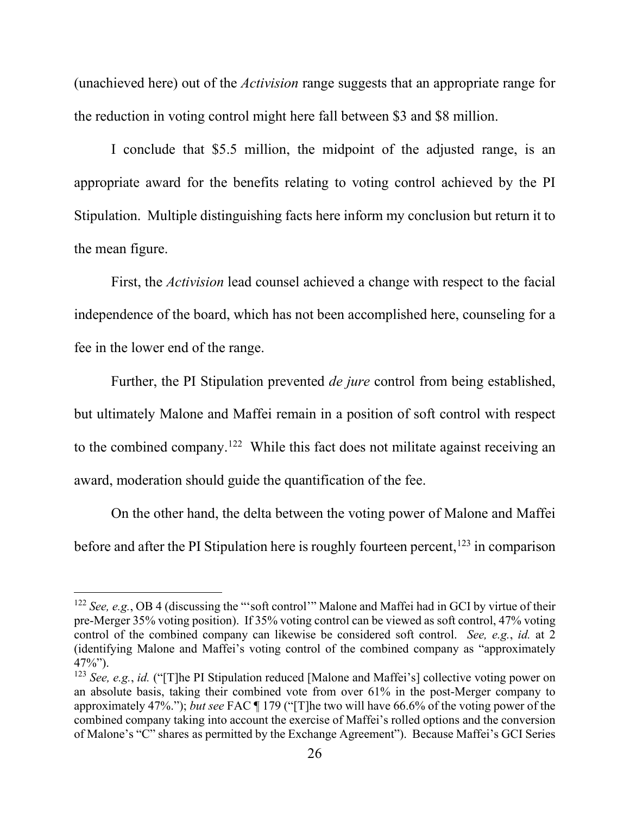(unachieved here) out of the *Activision* range suggests that an appropriate range for the reduction in voting control might here fall between \$3 and \$8 million.

I conclude that \$5.5 million, the midpoint of the adjusted range, is an appropriate award for the benefits relating to voting control achieved by the PI Stipulation. Multiple distinguishing facts here inform my conclusion but return it to the mean figure.

First, the *Activision* lead counsel achieved a change with respect to the facial independence of the board, which has not been accomplished here, counseling for a fee in the lower end of the range.

Further, the PI Stipulation prevented *de jure* control from being established, but ultimately Malone and Maffei remain in a position of soft control with respect to the combined company.<sup>122</sup> While this fact does not militate against receiving an award, moderation should guide the quantification of the fee.

On the other hand, the delta between the voting power of Malone and Maffei before and after the PI Stipulation here is roughly fourteen percent, <sup>123</sup> in comparison

<sup>122</sup> *See, e.g.*, OB 4 (discussing the "'soft control'" Malone and Maffei had in GCI by virtue of their pre-Merger 35% voting position). If 35% voting control can be viewed as soft control, 47% voting control of the combined company can likewise be considered soft control. *See, e.g.*, *id.* at 2 (identifying Malone and Maffei's voting control of the combined company as "approximately  $47\%$ ").

<sup>123</sup> *See, e.g.*, *id.* ("[T]he PI Stipulation reduced [Malone and Maffei's] collective voting power on an absolute basis, taking their combined vote from over 61% in the post-Merger company to approximately 47%."); *but see* FAC ¶ 179 ("[T]he two will have 66.6% of the voting power of the combined company taking into account the exercise of Maffei's rolled options and the conversion of Malone's "C" shares as permitted by the Exchange Agreement"). Because Maffei's GCI Series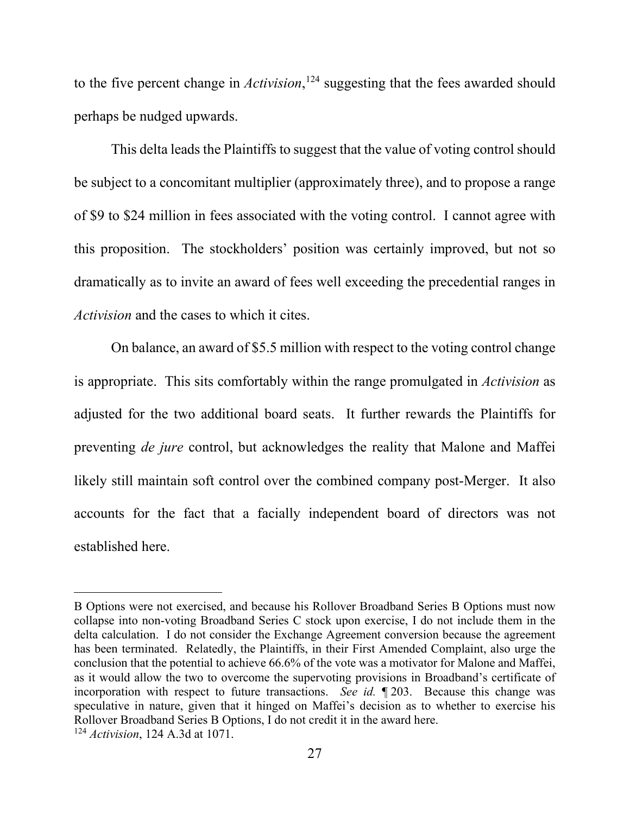to the five percent change in *Activision*, <sup>124</sup> suggesting that the fees awarded should perhaps be nudged upwards.

This delta leads the Plaintiffs to suggest that the value of voting control should be subject to a concomitant multiplier (approximately three), and to propose a range of \$9 to \$24 million in fees associated with the voting control. I cannot agree with this proposition. The stockholders' position was certainly improved, but not so dramatically as to invite an award of fees well exceeding the precedential ranges in *Activision* and the cases to which it cites.

On balance, an award of \$5.5 million with respect to the voting control change is appropriate. This sits comfortably within the range promulgated in *Activision* as adjusted for the two additional board seats. It further rewards the Plaintiffs for preventing *de jure* control, but acknowledges the reality that Malone and Maffei likely still maintain soft control over the combined company post-Merger. It also accounts for the fact that a facially independent board of directors was not established here.

B Options were not exercised, and because his Rollover Broadband Series B Options must now collapse into non-voting Broadband Series C stock upon exercise, I do not include them in the delta calculation. I do not consider the Exchange Agreement conversion because the agreement has been terminated. Relatedly, the Plaintiffs, in their First Amended Complaint, also urge the conclusion that the potential to achieve 66.6% of the vote was a motivator for Malone and Maffei, as it would allow the two to overcome the supervoting provisions in Broadband's certificate of incorporation with respect to future transactions. *See id.* ¶ 203. Because this change was speculative in nature, given that it hinged on Maffei's decision as to whether to exercise his Rollover Broadband Series B Options, I do not credit it in the award here. <sup>124</sup> *Activision*, 124 A.3d at 1071.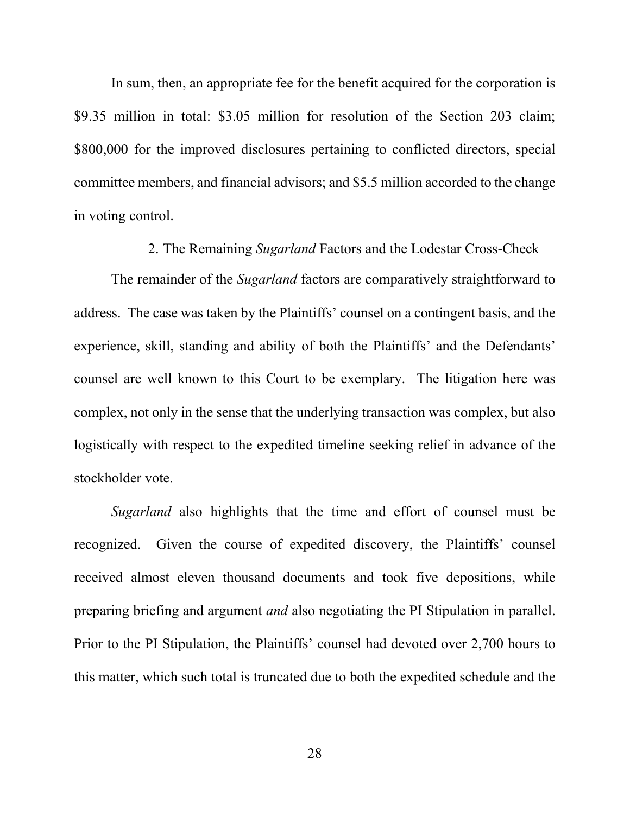In sum, then, an appropriate fee for the benefit acquired for the corporation is \$9.35 million in total: \$3.05 million for resolution of the Section 203 claim; \$800,000 for the improved disclosures pertaining to conflicted directors, special committee members, and financial advisors; and \$5.5 million accorded to the change in voting control.

#### 2. The Remaining *Sugarland* Factors and the Lodestar Cross-Check

The remainder of the *Sugarland* factors are comparatively straightforward to address. The case was taken by the Plaintiffs' counsel on a contingent basis, and the experience, skill, standing and ability of both the Plaintiffs' and the Defendants' counsel are well known to this Court to be exemplary. The litigation here was complex, not only in the sense that the underlying transaction was complex, but also logistically with respect to the expedited timeline seeking relief in advance of the stockholder vote.

*Sugarland* also highlights that the time and effort of counsel must be recognized. Given the course of expedited discovery, the Plaintiffs' counsel received almost eleven thousand documents and took five depositions, while preparing briefing and argument *and* also negotiating the PI Stipulation in parallel. Prior to the PI Stipulation, the Plaintiffs' counsel had devoted over 2,700 hours to this matter, which such total is truncated due to both the expedited schedule and the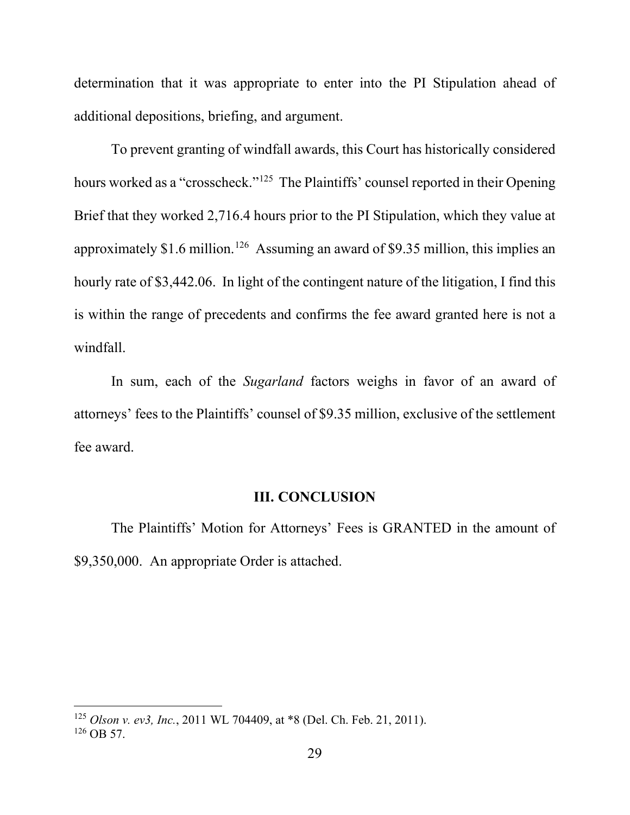determination that it was appropriate to enter into the PI Stipulation ahead of additional depositions, briefing, and argument.

To prevent granting of windfall awards, this Court has historically considered hours worked as a "crosscheck."<sup>125</sup> The Plaintiffs' counsel reported in their Opening Brief that they worked 2,716.4 hours prior to the PI Stipulation, which they value at approximately \$1.6 million.126 Assuming an award of \$9.35 million, this implies an hourly rate of \$3,442.06. In light of the contingent nature of the litigation, I find this is within the range of precedents and confirms the fee award granted here is not a windfall.

In sum, each of the *Sugarland* factors weighs in favor of an award of attorneys' fees to the Plaintiffs' counsel of \$9.35 million, exclusive of the settlement fee award.

#### **III. CONCLUSION**

The Plaintiffs' Motion for Attorneys' Fees is GRANTED in the amount of \$9,350,000. An appropriate Order is attached.

<sup>125</sup> *Olson v. ev3, Inc.*, 2011 WL 704409, at \*8 (Del. Ch. Feb. 21, 2011).  $126$  OB 57.